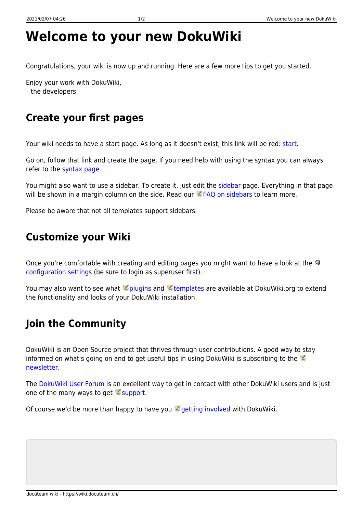## **Welcome to your new DokuWiki**

Congratulations, your wiki is now up and running. Here are a few more tips to get you started.

Enjoy your work with DokuWiki, – the developers

## **Create your first pages**

Your wiki needs to have a start page. As long as it doesn't exist, this link will be red: [start.](https://wiki.docuteam.ch/doku.php?id=start)

Go on, follow that link and create the page. If you need help with using the syntax you can always refer to the [syntax page.](https://wiki.docuteam.ch/doku.php?id=wiki:syntax)

You might also want to use a sidebar. To create it, just edit the [sidebar](https://wiki.docuteam.ch/doku.php?id=sidebar) page. Everything in that page will be shown in a margin column on the side. Read our  $EFAQ$  on sidebars to learn more.

Please be aware that not all templates support sidebars.

## **Customize your Wiki**

Onceyou're comfortable with creating and editing pages you might want to have a look at the [configuration settings](https://wiki.docuteam.ch/doku.php?do=admin&page=config) (be sure to login as superuser first).

You may also want to see what **plugins and Etemplates are available at DokuWiki.org to extend** the functionality and looks of your DokuWiki installation.

## **Join the Community**

DokuWiki is an Open Source project that thrives through user contributions. A good way to stay informedon what's going on and to get useful tips in using DokuWiki is subscribing to the  $\heartsuit$ [newsletter.](https://www.dokuwiki.org/newsletter)

The [DokuWiki User Forum](https://forum.dokuwiki.org) is an excellent way to get in contact with other DokuWiki users and is just one of the many ways to get  $\leq$  [support.](https://www.dokuwiki.org/faq%3Asupport)

Of course we'd be more than happy to have you  $\leq$  [getting involved](https://www.dokuwiki.org/teams%3Agetting_involved) with DokuWiki.